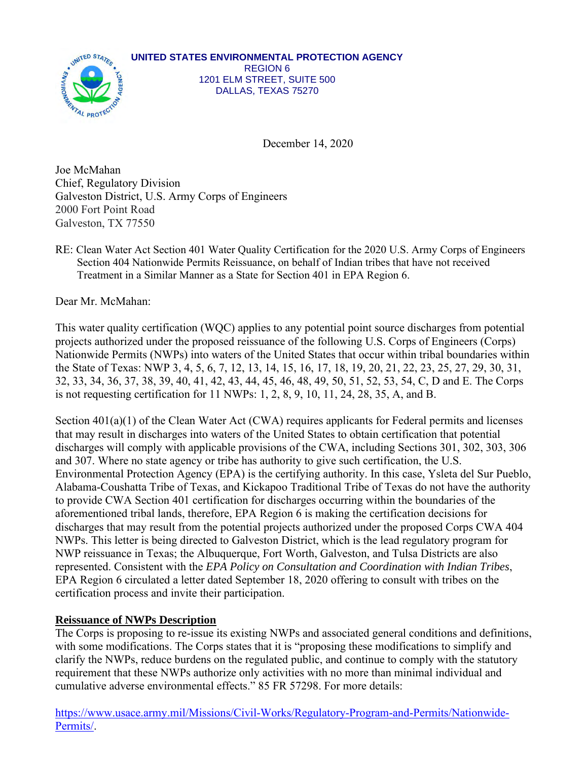

December 14, 2020

Joe McMahan Chief, Regulatory Division Galveston District, U.S. Army Corps of Engineers 2000 Fort Point Road Galveston, TX 77550

RE: Clean Water Act Section 401 Water Quality Certification for the 2020 U.S. Army Corps of Engineers Section 404 Nationwide Permits Reissuance, on behalf of Indian tribes that have not received Treatment in a Similar Manner as a State for Section 401 in EPA Region 6.

Dear Mr. McMahan:

This water quality certification (WQC) applies to any potential point source discharges from potential projects authorized under the proposed reissuance of the following U.S. Corps of Engineers (Corps) Nationwide Permits (NWPs) into waters of the United States that occur within tribal boundaries within the State of Texas: NWP 3, 4, 5, 6, 7, 12, 13, 14, 15, 16, 17, 18, 19, 20, 21, 22, 23, 25, 27, 29, 30, 31, 32, 33, 34, 36, 37, 38, 39, 40, 41, 42, 43, 44, 45, 46, 48, 49, 50, 51, 52, 53, 54, C, D and E. The Corps is not requesting certification for 11 NWPs: 1, 2, 8, 9, 10, 11, 24, 28, 35, A, and B.

Section 401(a)(1) of the Clean Water Act (CWA) requires applicants for Federal permits and licenses that may result in discharges into waters of the United States to obtain certification that potential discharges will comply with applicable provisions of the CWA, including Sections 301, 302, 303, 306 and 307. Where no state agency or tribe has authority to give such certification, the U.S. Environmental Protection Agency (EPA) is the certifying authority. In this case, Ysleta del Sur Pueblo, Alabama-Coushatta Tribe of Texas, and Kickapoo Traditional Tribe of Texas do not have the authority to provide CWA Section 401 certification for discharges occurring within the boundaries of the aforementioned tribal lands, therefore, EPA Region 6 is making the certification decisions for discharges that may result from the potential projects authorized under the proposed Corps CWA 404 NWPs. This letter is being directed to Galveston District, which is the lead regulatory program for NWP reissuance in Texas; the Albuquerque, Fort Worth, Galveston, and Tulsa Districts are also represented. Consistent with the *EPA Policy on Consultation and Coordination with Indian Tribes*, EPA Region 6 circulated a letter dated September 18, 2020 offering to consult with tribes on the certification process and invite their participation.

# **Reissuance of NWPs Description**

The Corps is proposing to re-issue its existing NWPs and associated general conditions and definitions, with some modifications. The Corps states that it is "proposing these modifications to simplify and clarify the NWPs, reduce burdens on the regulated public, and continue to comply with the statutory requirement that these NWPs authorize only activities with no more than minimal individual and cumulative adverse environmental effects." 85 FR 57298. For more details:

https://www.usace.army.mil/Missions/Civil-Works/Regulatory-Program-and-Permits/Nationwide-Permits/.